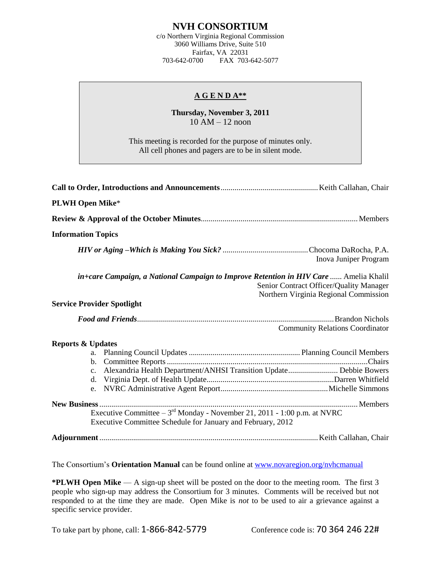## **NVH CONSORTIUM**

c/o Northern Virginia Regional Commission 3060 Williams Drive, Suite 510 Fairfax, VA 22031<br>703-642-0700 FAX 703-FAX 703-642-5077

## **A G E N D A\*\***

**Thursday, November 3, 2011**  $10$  AM  $- 12$  noon

This meeting is recorded for the purpose of minutes only. All cell phones and pagers are to be in silent mode.

| <b>PLWH Open Mike*</b>                                                                                                                      |                                                                                  |
|---------------------------------------------------------------------------------------------------------------------------------------------|----------------------------------------------------------------------------------|
|                                                                                                                                             |                                                                                  |
| <b>Information Topics</b>                                                                                                                   |                                                                                  |
|                                                                                                                                             | Inova Juniper Program                                                            |
| in+care Campaign, a National Campaign to Improve Retention in HIV Care  Amelia Khalil                                                       | Senior Contract Officer/Quality Manager<br>Northern Virginia Regional Commission |
| <b>Service Provider Spotlight</b>                                                                                                           |                                                                                  |
|                                                                                                                                             | <b>Community Relations Coordinator</b>                                           |
| <b>Reports &amp; Updates</b>                                                                                                                |                                                                                  |
| Alexandria Health Department/ANHSI Transition Update Debbie Bowers<br>$c_{\cdot}$                                                           |                                                                                  |
| Executive Committee $-3^{rd}$ Monday - November 21, 2011 - 1:00 p.m. at NVRC<br>Executive Committee Schedule for January and February, 2012 |                                                                                  |
|                                                                                                                                             |                                                                                  |

The Consortium's **Orientation Manual** can be found online at [www.novaregion.org/nvhcmanual](http://www.novaregion.org/nvhcmanual)

**\*PLWH Open Mike** — A sign-up sheet will be posted on the door to the meeting room. The first 3 people who sign-up may address the Consortium for 3 minutes. Comments will be received but not responded to at the time they are made. Open Mike is *not* to be used to air a grievance against a specific service provider.

To take part by phone, call: 1-866-842-5779 Conference code is: 70 364 246 22#